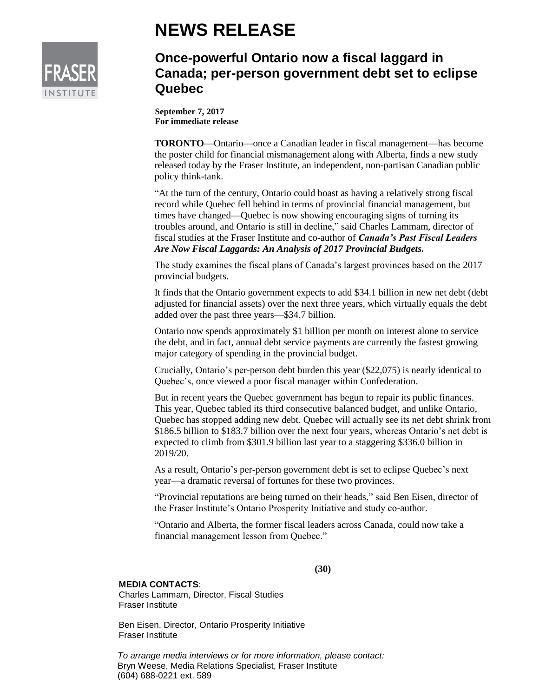

## **NEWS RELEASE**

## **Once-powerful Ontario now a fiscal laggard in Canada; per-person government debt set to eclipse Quebec**

**September 7, 2017 For immediate release**

**TORONTO**—Ontario—once a Canadian leader in fiscal management—has become the poster child for financial mismanagement along with Alberta, finds a new study released today by the Fraser Institute, an independent, non-partisan Canadian public policy think-tank.

"At the turn of the century, Ontario could boast as having a relatively strong fiscal record while Quebec fell behind in terms of provincial financial management, but times have changed—Quebec is now showing encouraging signs of turning its troubles around, and Ontario is still in decline," said Charles Lammam, director of fiscal studies at the Fraser Institute and co-author of *Canada's Past Fiscal Leaders Are Now Fiscal Laggards: An Analysis of 2017 Provincial Budgets.*

The study examines the fiscal plans of Canada's largest provinces based on the 2017 provincial budgets.

It finds that the Ontario government expects to add \$34.1 billion in new net debt (debt adjusted for financial assets) over the next three years, which virtually equals the debt added over the past three years—\$34.7 billion.

Ontario now spends approximately \$1 billion per month on interest alone to service the debt, and in fact, annual debt service payments are currently the fastest growing major category of spending in the provincial budget.

Crucially, Ontario's per-person debt burden this year (\$22,075) is nearly identical to Quebec's, once viewed a poor fiscal manager within Confederation.

But in recent years the Quebec government has begun to repair its public finances. This year, Quebec tabled its third consecutive balanced budget, and unlike Ontario, Quebec has stopped adding new debt. Quebec will actually see its net debt shrink from \$186.5 billion to \$183.7 billion over the next four years, whereas Ontario's net debt is expected to climb from \$301.9 billion last year to a staggering \$336.0 billion in 2019/20.

As a result, Ontario's per-person government debt is set to eclipse Quebec's next year—a dramatic reversal of fortunes for these two provinces.

"Provincial reputations are being turned on their heads," said Ben Eisen, director of the Fraser Institute's Ontario Prosperity Initiative and study co-author.

"Ontario and Alberta, the former fiscal leaders across Canada, could now take a financial management lesson from Quebec."

**(30)**

## **MEDIA CONTACTS**:

Charles Lammam, Director, Fiscal Studies Fraser Institute

Ben Eisen, Director, Ontario Prosperity Initiative Fraser Institute

*To arrange media interviews or for more information, please contact:*  Bryn Weese, Media Relations Specialist, Fraser Institute (604) 688-0221 ext. 589